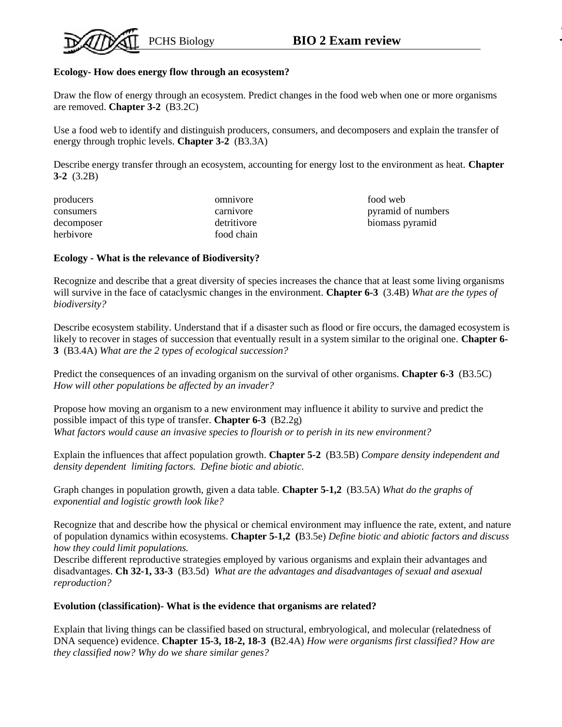### **Ecology- How does energy flow through an ecosystem?**

Draw the flow of energy through an ecosystem. Predict changes in the food web when one or more organisms are removed. **Chapter 3-2** (B3.2C)

Use a food web to identify and distinguish producers, consumers, and decomposers and explain the transfer of energy through trophic levels. **Chapter 3-2** (B3.3A)

Describe energy transfer through an ecosystem, accounting for energy lost to the environment as heat. **Chapter 3-2** (3.2B)

| producers  | omnivore    | food web           |
|------------|-------------|--------------------|
| consumers  | carnivore   | pyramid of numbers |
| decomposer | detritivore | biomass pyramid    |
| herbivore  | food chain  |                    |

### **Ecology - What is the relevance of Biodiversity?**

Recognize and describe that a great diversity of species increases the chance that at least some living organisms will survive in the face of cataclysmic changes in the environment. **Chapter 6-3** (3.4B) *What are the types of biodiversity?*

Describe ecosystem stability. Understand that if a disaster such as flood or fire occurs, the damaged ecosystem is likely to recover in stages of succession that eventually result in a system similar to the original one. **Chapter 6- 3** (B3.4A) *What are the 2 types of ecological succession?*

Predict the consequences of an invading organism on the survival of other organisms. **Chapter 6-3** (B3.5C) *How will other populations be affected by an invader?*

Propose how moving an organism to a new environment may influence it ability to survive and predict the possible impact of this type of transfer. **Chapter 6-3** (B2.2g) *What factors would cause an invasive species to flourish or to perish in its new environment?*

Explain the influences that affect population growth. **Chapter 5-2** (B3.5B) *Compare density independent and density dependent limiting factors. Define biotic and abiotic.*

Graph changes in population growth, given a data table. **Chapter 5-1,2** (B3.5A) *What do the graphs of exponential and logistic growth look like?*

Recognize that and describe how the physical or chemical environment may influence the rate, extent, and nature of population dynamics within ecosystems. **Chapter 5-1,2 (**B3.5e) *Define biotic and abiotic factors and discuss how they could limit populations.*

Describe different reproductive strategies employed by various organisms and explain their advantages and disadvantages. **Ch 32-1, 33-3** (B3.5d) *What are the advantages and disadvantages of sexual and asexual reproduction?*

### **Evolution (classification)- What is the evidence that organisms are related?**

Explain that living things can be classified based on structural, embryological, and molecular (relatedness of DNA sequence) evidence. **Chapter 15-3, 18-2, 18-3 (**B2.4A) *How were organisms first classified? How are they classified now? Why do we share similar genes?*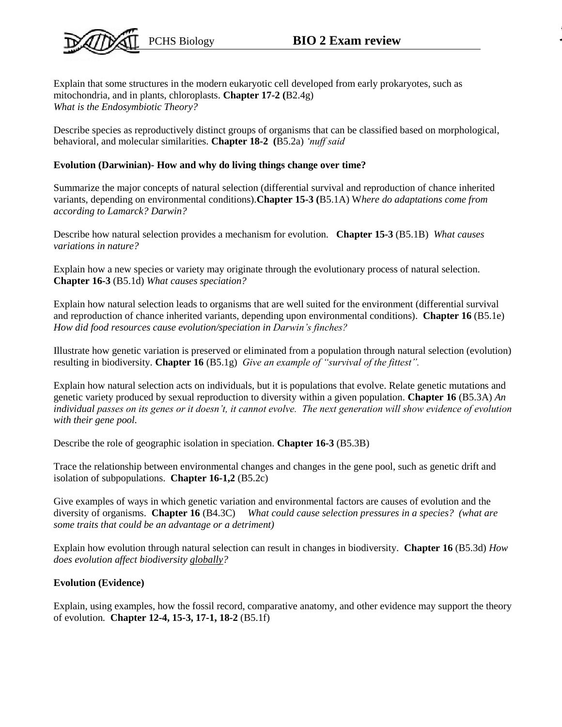

Explain that some structures in the modern eukaryotic cell developed from early prokaryotes, such as mitochondria, and in plants, chloroplasts. **Chapter 17-2 (**B2.4g) *What is the Endosymbiotic Theory?*

Describe species as reproductively distinct groups of organisms that can be classified based on morphological, behavioral, and molecular similarities. **Chapter 18-2 (**B5.2a) *'nuff said*

## **Evolution (Darwinian)- How and why do living things change over time?**

Summarize the major concepts of natural selection (differential survival and reproduction of chance inherited variants, depending on environmental conditions).**Chapter 15-3 (**B5.1A) W*here do adaptations come from according to Lamarck? Darwin?*

Describe how natural selection provides a mechanism for evolution. **Chapter 15-3** (B5.1B) *What causes variations in nature?*

Explain how a new species or variety may originate through the evolutionary process of natural selection. **Chapter 16-3** (B5.1d) *What causes speciation?*

Explain how natural selection leads to organisms that are well suited for the environment (differential survival and reproduction of chance inherited variants, depending upon environmental conditions). **Chapter 16** (B5.1e) *How did food resources cause evolution/speciation in Darwin's finches?*

Illustrate how genetic variation is preserved or eliminated from a population through natural selection (evolution) resulting in biodiversity. **Chapter 16** (B5.1g) *Give an example of "survival of the fittest".*

Explain how natural selection acts on individuals, but it is populations that evolve. Relate genetic mutations and genetic variety produced by sexual reproduction to diversity within a given population. **Chapter 16** (B5.3A) *An individual passes on its genes or it doesn't, it cannot evolve. The next generation will show evidence of evolution with their gene pool.*

Describe the role of geographic isolation in speciation. **Chapter 16-3** (B5.3B)

Trace the relationship between environmental changes and changes in the gene pool, such as genetic drift and isolation of subpopulations. **Chapter 16-1,2** (B5.2c)

Give examples of ways in which genetic variation and environmental factors are causes of evolution and the diversity of organisms. **Chapter 16** (B4.3C) *What could cause selection pressures in a species? (what are some traits that could be an advantage or a detriment)*

Explain how evolution through natural selection can result in changes in biodiversity. **Chapter 16** (B5.3d) *How does evolution affect biodiversity globally?*

# **Evolution (Evidence)**

Explain, using examples, how the fossil record, comparative anatomy, and other evidence may support the theory of evolution. **Chapter 12-4, 15-3, 17-1, 18-2** (B5.1f)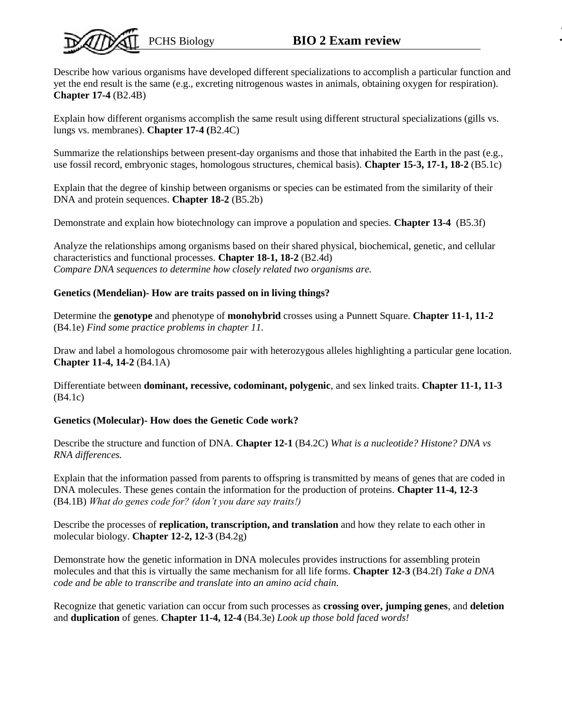# PCHS Biology **BIO 2 Exam review**

Describe how various organisms have developed different specializations to accomplish a particular function and yet the end result is the same (e.g., excreting nitrogenous wastes in animals, obtaining oxygen for respiration). **Chapter 17-4** (B2.4B)

Explain how different organisms accomplish the same result using different structural specializations (gills vs. lungs vs. membranes). **Chapter 17-4 (**B2.4C)

Summarize the relationships between present-day organisms and those that inhabited the Earth in the past (e.g., use fossil record, embryonic stages, homologous structures, chemical basis). **Chapter 15-3, 17-1, 18-2** (B5.1c)

Explain that the degree of kinship between organisms or species can be estimated from the similarity of their DNA and protein sequences. **Chapter 18-2** (B5.2b)

Demonstrate and explain how biotechnology can improve a population and species. **Chapter 13-4** (B5.3f)

Analyze the relationships among organisms based on their shared physical, biochemical, genetic, and cellular characteristics and functional processes. **Chapter 18-1, 18-2** (B2.4d) *Compare DNA sequences to determine how closely related two organisms are.*

## **Genetics (Mendelian)- How are traits passed on in living things?**

Determine the **genotype** and phenotype of **monohybrid** crosses using a Punnett Square. **Chapter 11-1, 11-2**  (B4.1e) *Find some practice problems in chapter 11.*

Draw and label a homologous chromosome pair with heterozygous alleles highlighting a particular gene location. **Chapter 11-4, 14-2** (B4.1A)

Differentiate between **dominant, recessive, codominant, polygenic**, and sex linked traits. **Chapter 11-1, 11-3**  (B4.1c)

## **Genetics (Molecular)- How does the Genetic Code work?**

Describe the structure and function of DNA. **Chapter 12-1** (B4.2C) *What is a nucleotide? Histone? DNA vs RNA differences.*

Explain that the information passed from parents to offspring is transmitted by means of genes that are coded in DNA molecules. These genes contain the information for the production of proteins. **Chapter 11-4, 12-3**  (B4.1B) *What do genes code for? (don't you dare say traits!)*

Describe the processes of **replication, transcription, and translation** and how they relate to each other in molecular biology. **Chapter 12-2, 12-3** (B4.2g)

Demonstrate how the genetic information in DNA molecules provides instructions for assembling protein molecules and that this is virtually the same mechanism for all life forms. **Chapter 12-3** (B4.2f) *Take a DNA code and be able to transcribe and translate into an amino acid chain.*

Recognize that genetic variation can occur from such processes as **crossing over, jumping genes**, and **deletion**  and **duplication** of genes. **Chapter 11-4, 12-4** (B4.3e) *Look up those bold faced words!*